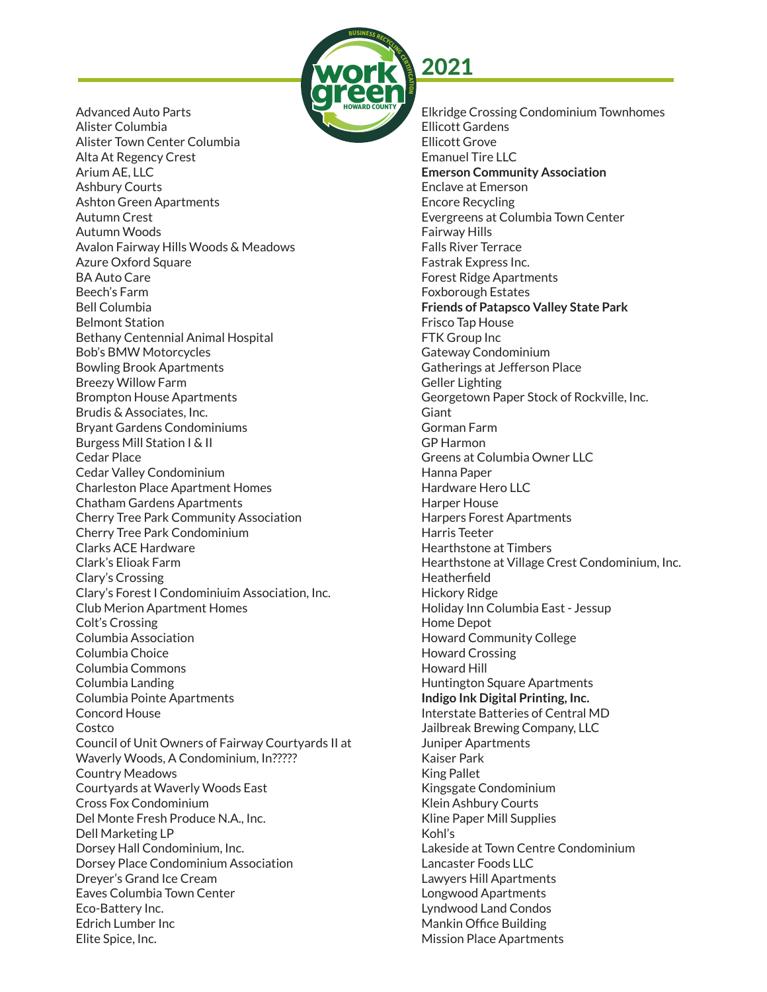

Advanced Auto Parts Alister Columbia Alister Town Center Columbia Alta At Regency Crest Arium AE, LLC Ashbury Courts Ashton Green Apartments Autumn Crest Autumn Woods Avalon Fairway Hills Woods & Meadows Azure Oxford Square BA Auto Care Beech's Farm Bell Columbia Belmont Station Bethany Centennial Animal Hospital Bob's BMW Motorcycles Bowling Brook Apartments Breezy Willow Farm Brompton House Apartments Brudis & Associates, Inc. Bryant Gardens Condominiums Burgess Mill Station I & II Cedar Place Cedar Valley Condominium Charleston Place Apartment Homes Chatham Gardens Apartments Cherry Tree Park Community Association Cherry Tree Park Condominium Clarks ACE Hardware Clark's Elioak Farm Clary's Crossing Clary's Forest I Condominiuim Association, Inc. Club Merion Apartment Homes Colt's Crossing Columbia Association Columbia Choice Columbia Commons Columbia Landing Columbia Pointe Apartments Concord House Costco Council of Unit Owners of Fairway Courtyards II at Waverly Woods, A Condominium, In????? Country Meadows Courtyards at Waverly Woods East Cross Fox Condominium Del Monte Fresh Produce N.A., Inc. Dell Marketing LP Dorsey Hall Condominium, Inc. Dorsey Place Condominium Association Dreyer's Grand Ice Cream Eaves Columbia Town Center Eco-Battery Inc. Edrich Lumber Inc Elite Spice, Inc.

Elkridge Crossing Condominium Townhomes Ellicott Gardens Ellicott Grove Emanuel Tire LLC **Emerson Community Association** Enclave at Emerson Encore Recycling Evergreens at Columbia Town Center Fairway Hills Falls River Terrace Fastrak Express Inc. Forest Ridge Apartments Foxborough Estates **Friends of Patapsco Valley State Park**  Frisco Tap House FTK Group Inc Gateway Condominium Gatherings at Jefferson Place Geller Lighting Georgetown Paper Stock of Rockville, Inc. Giant Gorman Farm GP Harmon Greens at Columbia Owner LLC Hanna Paper Hardware Hero LLC Harper House Harpers Forest Apartments Harris Teeter Hearthstone at Timbers Hearthstone at Village Crest Condominium, Inc. Heatherfield Hickory Ridge Holiday Inn Columbia East - Jessup Home Depot Howard Community College Howard Crossing Howard Hill Huntington Square Apartments **Indigo Ink Digital Printing, Inc.**  Interstate Batteries of Central MD Jailbreak Brewing Company, LLC Juniper Apartments Kaiser Park King Pallet Kingsgate Condominium Klein Ashbury Courts Kline Paper Mill Supplies Kohl's Lakeside at Town Centre Condominium Lancaster Foods LLC Lawyers Hill Apartments Longwood Apartments Lyndwood Land Condos Mankin Office Building Mission Place Apartments